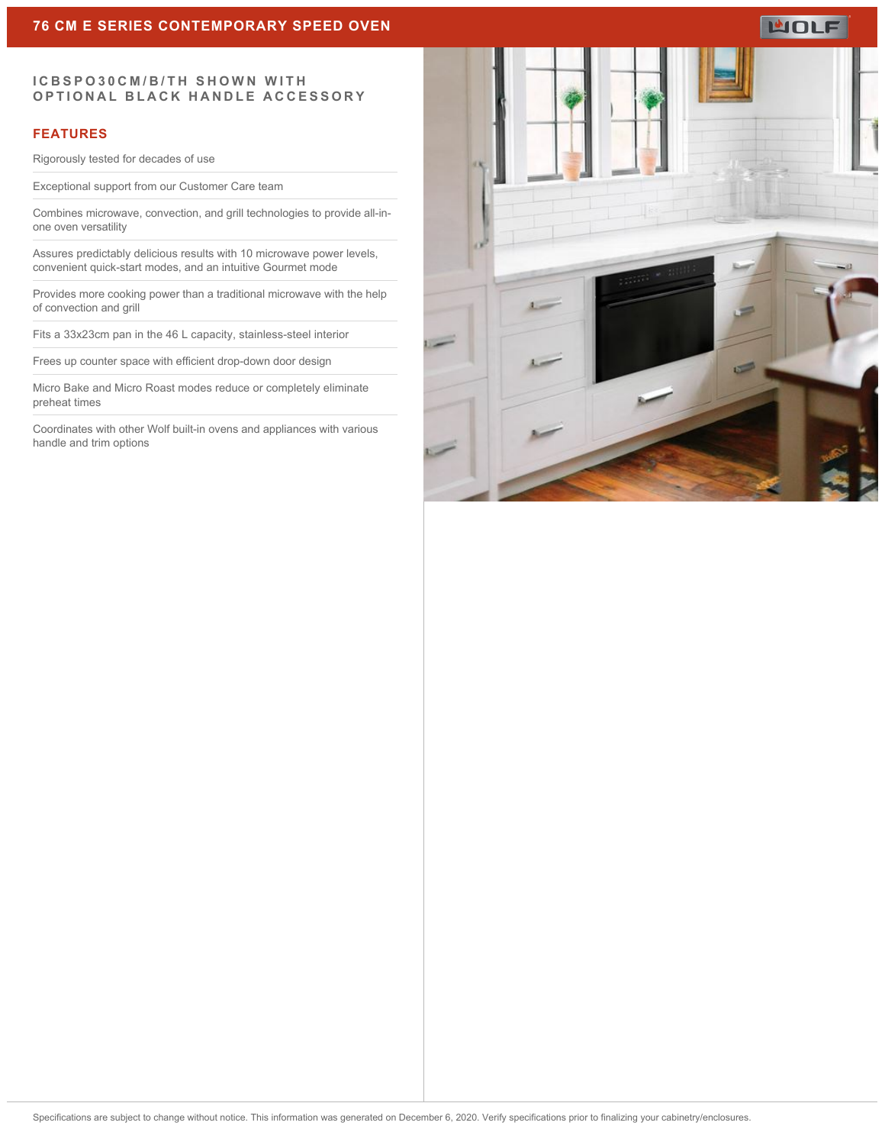# **WOLF**

#### **ICBSPO30CM/B/TH SHOWN WITH OPTIONAL BLACK HANDLE ACCESSORY**

#### **FEATURES**

Rigorously tested for decades of use

Exceptional support from our Customer Care team

Combines microwave, convection, and grill technologies to provide all-inone oven versatility

Assures predictably delicious results with 10 microwave power levels, convenient quick-start modes, and an intuitive Gourmet mode

Provides more cooking power than a traditional microwave with the help of convection and grill

Fits a 33x23cm pan in the 46 L capacity, stainless-steel interior

Frees up counter space with efficient drop-down door design

Micro Bake and Micro Roast modes reduce or completely eliminate preheat times

Coordinates with other Wolf built-in ovens and appliances with various handle and trim options